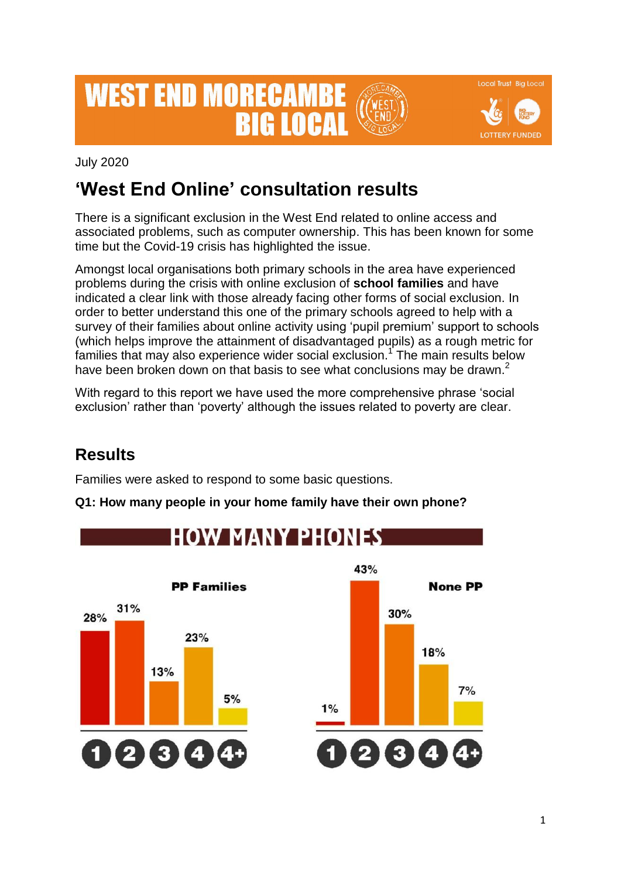# **WEST END MORECAMB RIG LOCA**

**Local Trust Big Local LOTTERY FUNDED** 

July 2020

# **'West End Online' consultation results**

There is a significant exclusion in the West End related to online access and associated problems, such as computer ownership. This has been known for some time but the Covid-19 crisis has highlighted the issue.

Amongst local organisations both primary schools in the area have experienced problems during the crisis with online exclusion of **school families** and have indicated a clear link with those already facing other forms of social exclusion. In order to better understand this one of the primary schools agreed to help with a survey of their families about online activity using 'pupil premium' support to schools (which helps improve the attainment of disadvantaged pupils) as a rough metric for families that may also experience wider social exclusion.<sup>1</sup> The main results below have been broken down on that basis to see what conclusions may be drawn.<sup>2</sup>

With regard to this report we have used the more comprehensive phrase 'social exclusion' rather than 'poverty' although the issues related to poverty are clear.

## **Results**

Families were asked to respond to some basic questions.

#### **Q1: How many people in your home family have their own phone?**

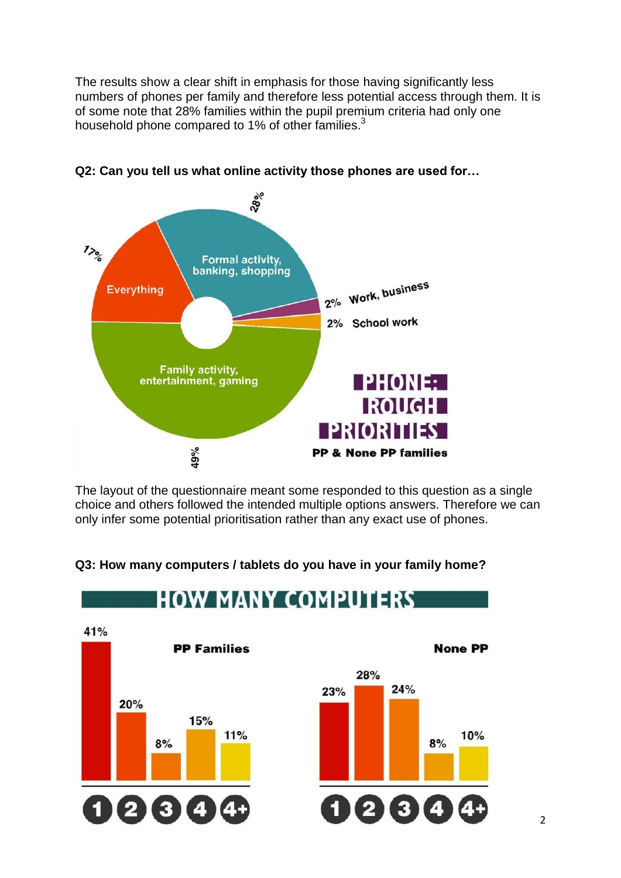The results show a clear shift in emphasis for those having significantly less numbers of phones per family and therefore less potential access through them. It is of some note that 28% families within the pupil premium criteria had only one household phone compared to 1% of other families.<sup>3</sup>



**Q2: Can you tell us what online activity those phones are used for…**

The layout of the questionnaire meant some responded to this question as a single choice and others followed the intended multiple options answers. Therefore we can only infer some potential prioritisation rather than any exact use of phones.



#### **Q3: How many computers / tablets do you have in your family home?**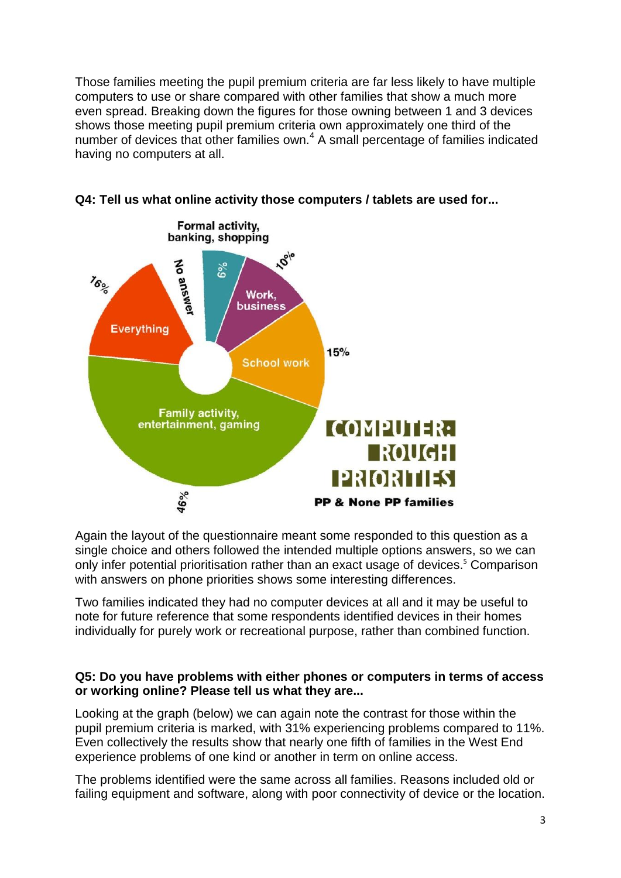Those families meeting the pupil premium criteria are far less likely to have multiple computers to use or share compared with other families that show a much more even spread. Breaking down the figures for those owning between 1 and 3 devices shows those meeting pupil premium criteria own approximately one third of the number of devices that other families own.<sup>4</sup> A small percentage of families indicated having no computers at all.





Again the layout of the questionnaire meant some responded to this question as a single choice and others followed the intended multiple options answers, so we can only infer potential prioritisation rather than an exact usage of devices. <sup>5</sup> Comparison with answers on phone priorities shows some interesting differences.

Two families indicated they had no computer devices at all and it may be useful to note for future reference that some respondents identified devices in their homes individually for purely work or recreational purpose, rather than combined function.

#### **Q5: Do you have problems with either phones or computers in terms of access or working online? Please tell us what they are...**

Looking at the graph (below) we can again note the contrast for those within the pupil premium criteria is marked, with 31% experiencing problems compared to 11%. Even collectively the results show that nearly one fifth of families in the West End experience problems of one kind or another in term on online access.

The problems identified were the same across all families. Reasons included old or failing equipment and software, along with poor connectivity of device or the location.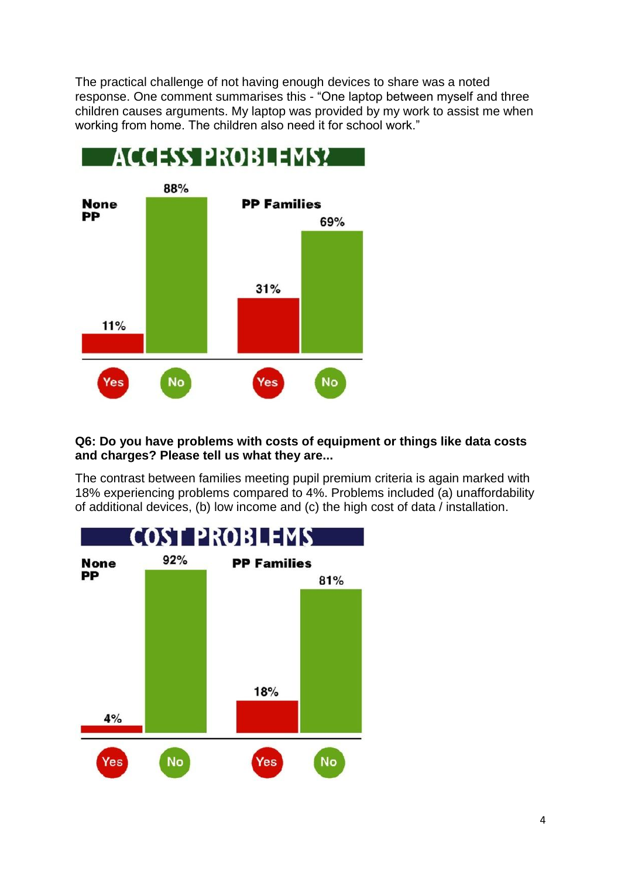The practical challenge of not having enough devices to share was a noted response. One comment summarises this - "One laptop between myself and three children causes arguments. My laptop was provided by my work to assist me when working from home. The children also need it for school work."



#### **Q6: Do you have problems with costs of equipment or things like data costs and charges? Please tell us what they are...**

The contrast between families meeting pupil premium criteria is again marked with 18% experiencing problems compared to 4%. Problems included (a) unaffordability of additional devices, (b) low income and (c) the high cost of data / installation.